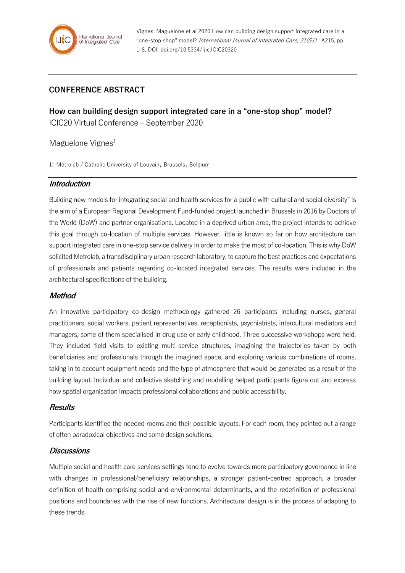

Vignes, Maguelone et al 2020 How can building design support integrated care in a "one-stop shop" model? International Journal of Integrated Care, 21(S1) : A215, pp. 1-8, DOI: doi.org/10.5334/ijic.ICIC20320

# **CONFERENCE ABSTRACT**

**How can building design support integrated care in a "one-stop shop" model?** ICIC20 Virtual Conference – September 2020

### Maguelone Vignes<sup>1</sup>

1: Metrolab / Catholic University of Louvain, Brussels, Belgium

### **Introduction**

Building new models for integrating social and health services for a public with cultural and social diversity" is the aim of a European Regional Development Fund-funded project launched in Brussels in 2016 by Doctors of the World (DoW) and partner organisations. Located in a deprived urban area, the project intends to achieve this goal through co-location of multiple services. However, little is known so far on how architecture can support integrated care in one-stop service delivery in order to make the most of co-location. This is why DoW solicited Metrolab, a transdisciplinary urban research laboratory, to capture the best practices and expectations of professionals and patients regarding co-located integrated services. The results were included in the architectural specifications of the building.

#### **Method**

An innovative participatory co-design methodology gathered 26 participants including nurses, general practitioners, social workers, patient representatives, receptionists, psychiatrists, intercultural mediators and managers, some of them specialised in drug use or early childhood. Three successive workshops were held. They included field visits to existing multi-service structures, imagining the trajectories taken by both beneficiaries and professionals through the imagined space, and exploring various combinations of rooms, taking in to account equipment needs and the type of atmosphere that would be generated as a result of the building layout. Individual and collective sketching and modelling helped participants figure out and express how spatial organisation impacts professional collaborations and public accessibility.

#### **Results**

Participants identified the needed rooms and their possible layouts. For each room, they pointed out a range of often paradoxical objectives and some design solutions.

#### **Discussions**

Multiple social and health care services settings tend to evolve towards more participatory governance in line with changes in professional/beneficiary relationships, a stronger patient-centred approach, a broader definition of health comprising social and environmental determinants, and the redefinition of professional positions and boundaries with the rise of new functions. Architectural design is in the process of adapting to these trends.